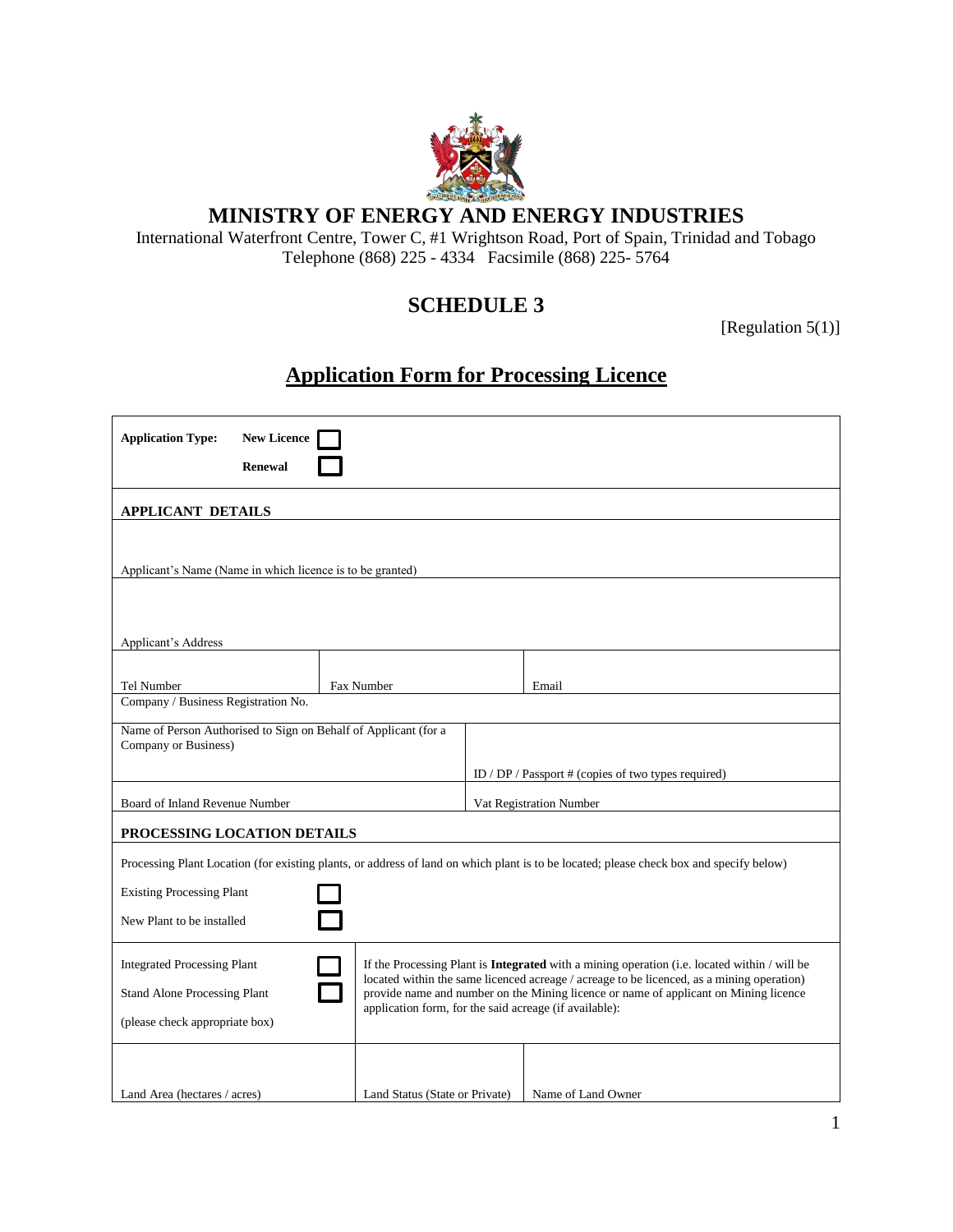

### **MINISTRY OF ENERGY AND ENERGY INDUSTRIES**

International Waterfront Centre, Tower C, #1 Wrightson Road, Port of Spain, Trinidad and Tobago Telephone (868) 225 - 4334 Facsimile (868) 225- 5764

## **SCHEDULE 3**

[Regulation 5(1)]

# **Application Form for Processing Licence**

| <b>Application Type:</b>                                                                                                                | <b>New Licence</b><br><b>Renewal</b>                           |            |                                                                                                                                                                                   |                    |  |  |  |  |
|-----------------------------------------------------------------------------------------------------------------------------------------|----------------------------------------------------------------|------------|-----------------------------------------------------------------------------------------------------------------------------------------------------------------------------------|--------------------|--|--|--|--|
| <b>APPLICANT DETAILS</b>                                                                                                                |                                                                |            |                                                                                                                                                                                   |                    |  |  |  |  |
| Applicant's Name (Name in which licence is to be granted)                                                                               |                                                                |            |                                                                                                                                                                                   |                    |  |  |  |  |
| Applicant's Address                                                                                                                     |                                                                |            |                                                                                                                                                                                   |                    |  |  |  |  |
| Tel Number                                                                                                                              |                                                                | Fax Number |                                                                                                                                                                                   | Email              |  |  |  |  |
| Company / Business Registration No.                                                                                                     |                                                                |            |                                                                                                                                                                                   |                    |  |  |  |  |
| Name of Person Authorised to Sign on Behalf of Applicant (for a<br>Company or Business)                                                 |                                                                |            |                                                                                                                                                                                   |                    |  |  |  |  |
|                                                                                                                                         |                                                                |            | ID / DP / Passport # (copies of two types required)                                                                                                                               |                    |  |  |  |  |
| Board of Inland Revenue Number                                                                                                          |                                                                |            | Vat Registration Number                                                                                                                                                           |                    |  |  |  |  |
| PROCESSING LOCATION DETAILS                                                                                                             |                                                                |            |                                                                                                                                                                                   |                    |  |  |  |  |
| Processing Plant Location (for existing plants, or address of land on which plant is to be located; please check box and specify below) |                                                                |            |                                                                                                                                                                                   |                    |  |  |  |  |
| <b>Existing Processing Plant</b>                                                                                                        |                                                                |            |                                                                                                                                                                                   |                    |  |  |  |  |
| New Plant to be installed                                                                                                               |                                                                |            |                                                                                                                                                                                   |                    |  |  |  |  |
| <b>Integrated Processing Plant</b>                                                                                                      |                                                                |            | If the Processing Plant is Integrated with a mining operation (i.e. located within / will be                                                                                      |                    |  |  |  |  |
| <b>Stand Alone Processing Plant</b>                                                                                                     |                                                                |            | located within the same licenced acreage / acreage to be licenced, as a mining operation)<br>provide name and number on the Mining licence or name of applicant on Mining licence |                    |  |  |  |  |
| application form, for the said acreage (if available):<br>(please check appropriate box)                                                |                                                                |            |                                                                                                                                                                                   |                    |  |  |  |  |
|                                                                                                                                         |                                                                |            |                                                                                                                                                                                   |                    |  |  |  |  |
|                                                                                                                                         | Land Area (hectares / acres)<br>Land Status (State or Private) |            |                                                                                                                                                                                   | Name of Land Owner |  |  |  |  |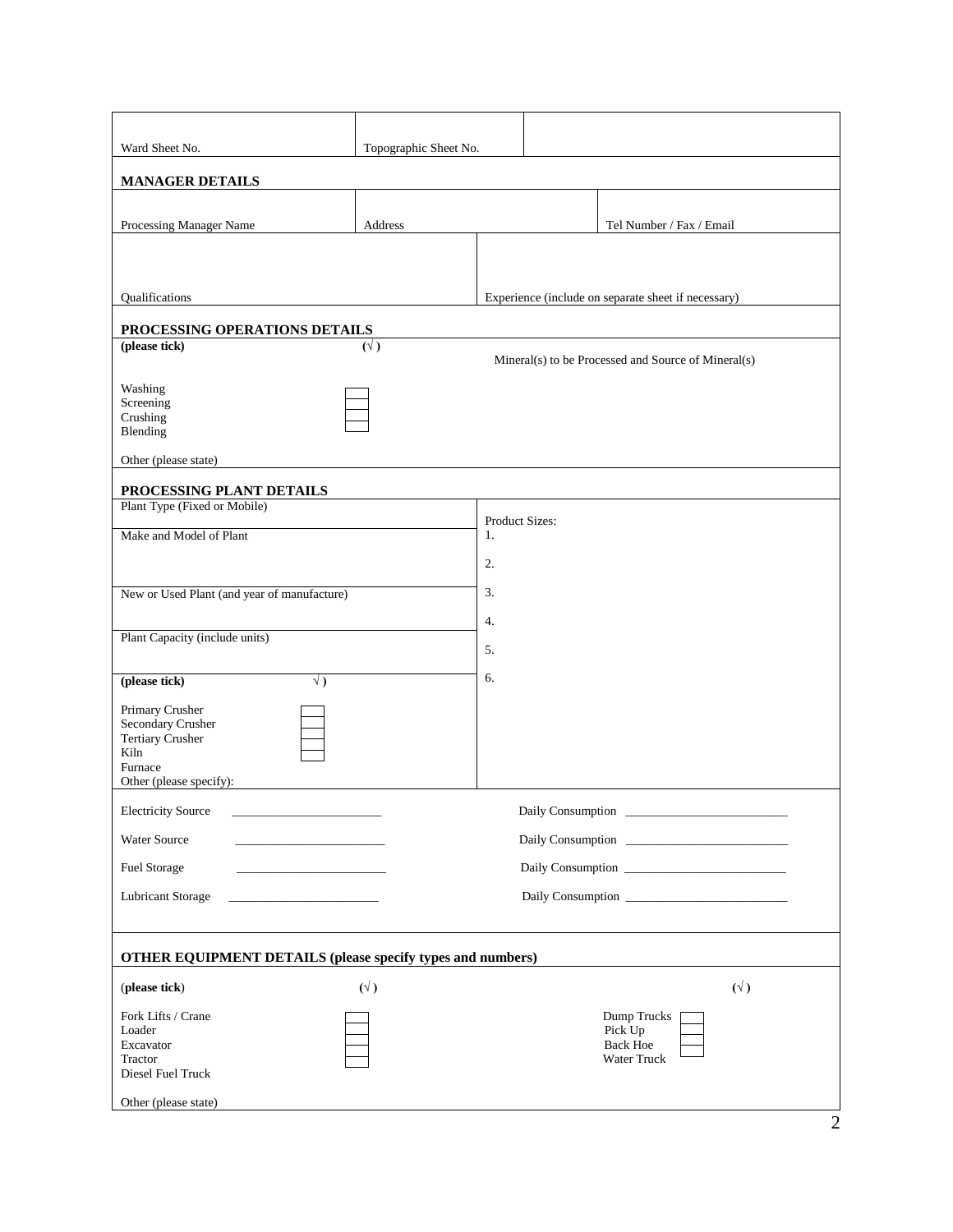| Ward Sheet No.<br>Topographic Sheet No.                           |             |                                                     |                                |                                                     |             |  |  |  |  |  |
|-------------------------------------------------------------------|-------------|-----------------------------------------------------|--------------------------------|-----------------------------------------------------|-------------|--|--|--|--|--|
| <b>MANAGER DETAILS</b>                                            |             |                                                     |                                |                                                     |             |  |  |  |  |  |
| Processing Manager Name                                           | Address     |                                                     |                                | Tel Number / Fax / Email                            |             |  |  |  |  |  |
|                                                                   |             |                                                     |                                |                                                     |             |  |  |  |  |  |
|                                                                   |             |                                                     |                                |                                                     |             |  |  |  |  |  |
| Qualifications                                                    |             | Experience (include on separate sheet if necessary) |                                |                                                     |             |  |  |  |  |  |
|                                                                   |             |                                                     |                                |                                                     |             |  |  |  |  |  |
| PROCESSING OPERATIONS DETAILS<br>(please tick)                    |             |                                                     |                                |                                                     |             |  |  |  |  |  |
|                                                                   | $(\vee)$    |                                                     |                                | Mineral(s) to be Processed and Source of Mineral(s) |             |  |  |  |  |  |
| Washing                                                           |             |                                                     |                                |                                                     |             |  |  |  |  |  |
| Screening                                                         |             |                                                     |                                |                                                     |             |  |  |  |  |  |
| Crushing<br>Blending                                              |             |                                                     |                                |                                                     |             |  |  |  |  |  |
| Other (please state)                                              |             |                                                     |                                |                                                     |             |  |  |  |  |  |
| PROCESSING PLANT DETAILS                                          |             |                                                     |                                |                                                     |             |  |  |  |  |  |
| Plant Type (Fixed or Mobile)                                      |             | Product Sizes:                                      |                                |                                                     |             |  |  |  |  |  |
| Make and Model of Plant                                           |             |                                                     |                                |                                                     |             |  |  |  |  |  |
|                                                                   |             | 2.                                                  |                                |                                                     |             |  |  |  |  |  |
| New or Used Plant (and year of manufacture)                       |             | 3.                                                  |                                |                                                     |             |  |  |  |  |  |
|                                                                   |             |                                                     |                                |                                                     |             |  |  |  |  |  |
| Plant Capacity (include units)                                    |             | 4.                                                  |                                |                                                     |             |  |  |  |  |  |
|                                                                   |             | 5.                                                  |                                |                                                     |             |  |  |  |  |  |
| (please tick)<br>$\sqrt{)}$                                       |             |                                                     |                                |                                                     |             |  |  |  |  |  |
| Primary Crusher                                                   |             |                                                     |                                |                                                     |             |  |  |  |  |  |
| Secondary Crusher<br>Tertiary Crusher                             |             |                                                     |                                |                                                     |             |  |  |  |  |  |
| Kiln                                                              |             |                                                     |                                |                                                     |             |  |  |  |  |  |
| Furnace<br>Other (please specify):                                |             |                                                     |                                |                                                     |             |  |  |  |  |  |
| <b>Electricity Source</b>                                         |             |                                                     |                                |                                                     |             |  |  |  |  |  |
|                                                                   |             |                                                     |                                |                                                     |             |  |  |  |  |  |
| Water Source                                                      |             |                                                     |                                |                                                     |             |  |  |  |  |  |
| Fuel Storage                                                      |             |                                                     |                                |                                                     |             |  |  |  |  |  |
| <b>Lubricant Storage</b>                                          |             |                                                     |                                |                                                     |             |  |  |  |  |  |
|                                                                   |             |                                                     |                                |                                                     |             |  |  |  |  |  |
| <b>OTHER EQUIPMENT DETAILS (please specify types and numbers)</b> |             |                                                     |                                |                                                     |             |  |  |  |  |  |
| (please tick)                                                     | $(\forall)$ |                                                     |                                |                                                     | $(\forall)$ |  |  |  |  |  |
| Fork Lifts / Crane                                                |             | Dump Trucks                                         |                                |                                                     |             |  |  |  |  |  |
| Loader                                                            |             |                                                     |                                | Pick Up                                             |             |  |  |  |  |  |
| Excavator<br>Tractor                                              |             |                                                     | <b>Back Hoe</b><br>Water Truck |                                                     |             |  |  |  |  |  |
| Diesel Fuel Truck                                                 |             |                                                     |                                |                                                     |             |  |  |  |  |  |
| Other (please state)                                              |             |                                                     |                                |                                                     |             |  |  |  |  |  |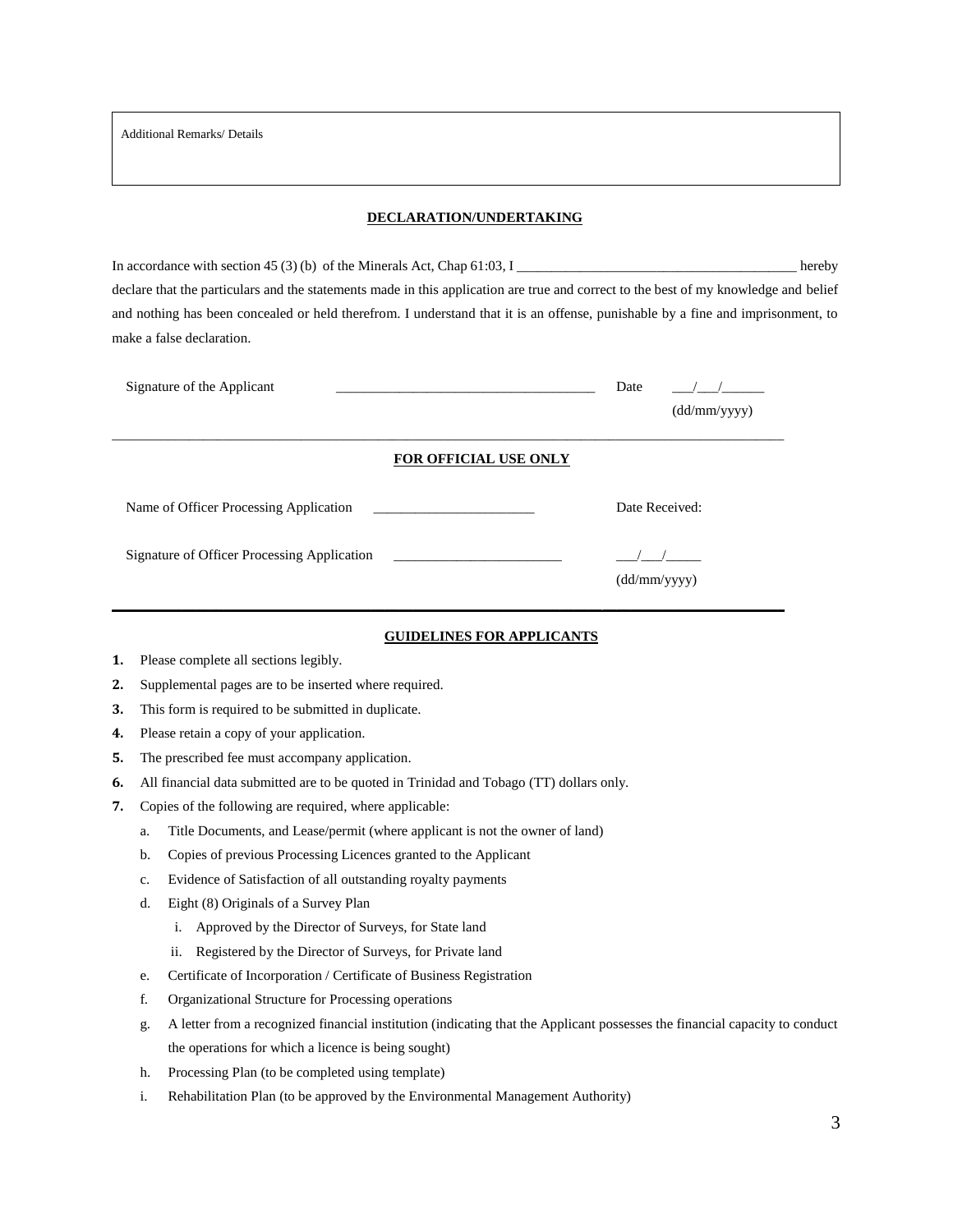Additional Remarks/ Details

#### **DECLARATION/UNDERTAKING**

In accordance with section 45 (3) (b) of the Minerals Act, Chap 61:03, I \_\_\_\_\_\_\_\_\_\_\_\_\_\_\_\_\_\_\_\_\_\_\_\_\_\_\_\_\_\_\_\_\_\_\_\_\_\_\_\_ hereby declare that the particulars and the statements made in this application are true and correct to the best of my knowledge and belief and nothing has been concealed or held therefrom. I understand that it is an offense, punishable by a fine and imprisonment, to make a false declaration.

| Signature of the Applicant                                                                 | Date<br>(dd/mm/yyyy) |
|--------------------------------------------------------------------------------------------|----------------------|
| FOR OFFICIAL USE ONLY                                                                      |                      |
| Name of Officer Processing Application<br>the control of the control of the control of the | Date Received:       |
| Signature of Officer Processing Application                                                | (dd/mm/yyyy)         |

#### **GUIDELINES FOR APPLICANTS**

- **1.** Please complete all sections legibly.
- **2.** Supplemental pages are to be inserted where required.
- **3.** This form is required to be submitted in duplicate.
- **4.** Please retain a copy of your application.
- **5.** The prescribed fee must accompany application.
- **6.** All financial data submitted are to be quoted in Trinidad and Tobago (TT) dollars only.
- **7.** Copies of the following are required, where applicable:
	- a. Title Documents, and Lease/permit (where applicant is not the owner of land)
	- b. Copies of previous Processing Licences granted to the Applicant
	- c. Evidence of Satisfaction of all outstanding royalty payments
	- d. Eight (8) Originals of a Survey Plan
		- i. Approved by the Director of Surveys, for State land
		- ii. Registered by the Director of Surveys, for Private land
	- e. Certificate of Incorporation / Certificate of Business Registration
	- f. Organizational Structure for Processing operations
	- g. A letter from a recognized financial institution (indicating that the Applicant possesses the financial capacity to conduct the operations for which a licence is being sought)
	- h. Processing Plan (to be completed using template)
	- i. Rehabilitation Plan (to be approved by the Environmental Management Authority)